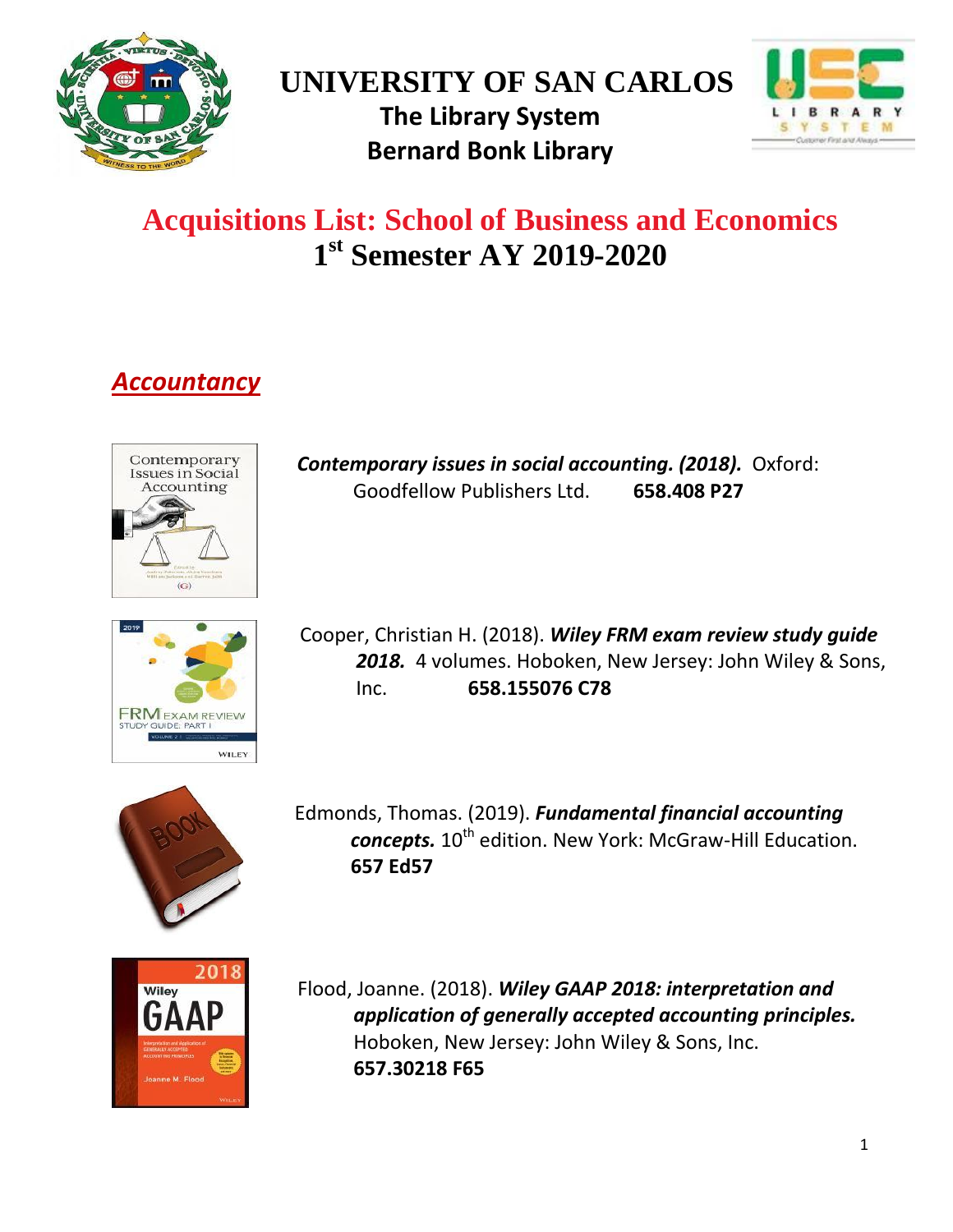

# **UNIVERSITY OF SAN CARLOS The Library System Bernard Bonk Library**



# **Acquisitions List: School of Business and Economics 1 st Semester AY 2019-2020**

# *Accountancy*



*[Contemporary issues in social accounting.](http://tlc.library.usc.edu.ph:8080/#section=resource&resourceid=453271220¤tIndex=0&view=allCopiesDetailsTab) (2018).* Oxford: Goodfellow Publishers Ltd. **658.408 P27**



Cooper, Christian H. (2018). *[Wiley FRM exam review study guide](http://tlc.library.usc.edu.ph:8080/#section=resource&resourceid=453055488¤tIndex=0&view=allCopiesDetailsTab) [2018.](http://tlc.library.usc.edu.ph:8080/#section=resource&resourceid=453055488¤tIndex=0&view=allCopiesDetailsTab)* 4 volumes. Hoboken, New Jersey: John Wiley & Sons, Inc. **658.155076 C78**



Edmonds, Thomas. (2019). *[Fundamental financial accounting](http://tlc.library.usc.edu.ph:8080/#section=resource&resourceid=463928412¤tIndex=3&view=allCopiesDetailsTab)  [concepts.](http://tlc.library.usc.edu.ph:8080/#section=resource&resourceid=463928412¤tIndex=3&view=allCopiesDetailsTab)*  $10^{th}$  edition. New York: McGraw-Hill Education. **657 Ed57**



Flood, Joanne. (2018). *[Wiley GAAP 2018: interpretation and](http://tlc.library.usc.edu.ph:8080/#section=resource&resourceid=447931783¤tIndex=0&view=allCopiesDetailsTab)  [application of generally accepted accounting principles.](http://tlc.library.usc.edu.ph:8080/#section=resource&resourceid=447931783¤tIndex=0&view=allCopiesDetailsTab)* Hoboken, New Jersey: John Wiley & Sons, Inc. **657.30218 F65**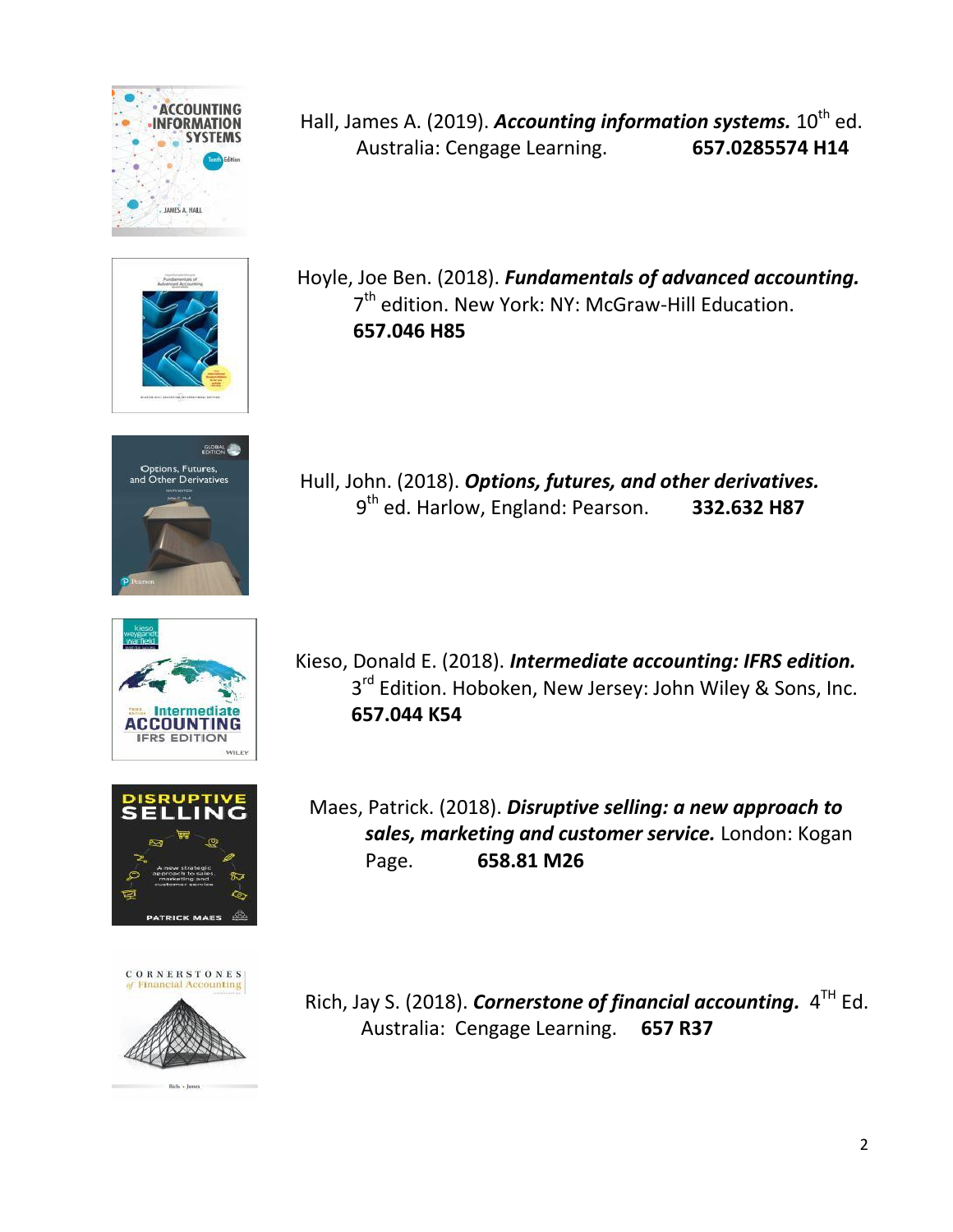











Hall, James A. (2019). *[Accounting information systems.](http://tlc.library.usc.edu.ph:8080/#section=resource&resourceid=473920482¤tIndex=0&view=allCopiesDetailsTab)* 10<sup>th</sup> ed. Australia: Cengage Learning. **657.0285574 H14**

Hoyle, Joe Ben. (2018). *[Fundamentals of advanced accounting.](http://tlc.library.usc.edu.ph:8080/#section=resource&resourceid=463497938¤tIndex=1&view=allCopiesDetailsTab)* 7<sup>th</sup> edition. New York: NY: McGraw-Hill Education. **657.046 H85**

Hull, John. (2018). *[Options, futures, and other derivatives.](http://tlc.library.usc.edu.ph:8080/#section=resource&resourceid=463498295¤tIndex=0&view=allCopiesDetailsTab)* 9 th ed. Harlow, England: Pearson. **332.632 H87**

Kieso, Donald E. (2018). *[Intermediate accounting: IFRS edition.](http://tlc.library.usc.edu.ph:8080/#section=resource&resourceid=462216932¤tIndex=0&view=allCopiesDetailsTab)* 3<sup>rd</sup> Edition. Hoboken, New Jersey: John Wiley & Sons, Inc. **657.044 K54**

Maes, Patrick. (2018). *[Disruptive selling: a new approach to](http://tlc.library.usc.edu.ph:8080/#section=resource&resourceid=450272943¤tIndex=0&view=allCopiesDetailsTab)  [sales, marketing and customer service.](http://tlc.library.usc.edu.ph:8080/#section=resource&resourceid=450272943¤tIndex=0&view=allCopiesDetailsTab)* London: Kogan Page. **658.81 M26**

Rich, Jay S. (2018). *[Cornerstone of financial accounting.](http://tlc.library.usc.edu.ph:8080/#section=resource&resourceid=370417038¤tIndex=0&view=allCopiesDetailsTab)* 4<sup>TH</sup> Ed. Australia: Cengage Learning. **657 R37**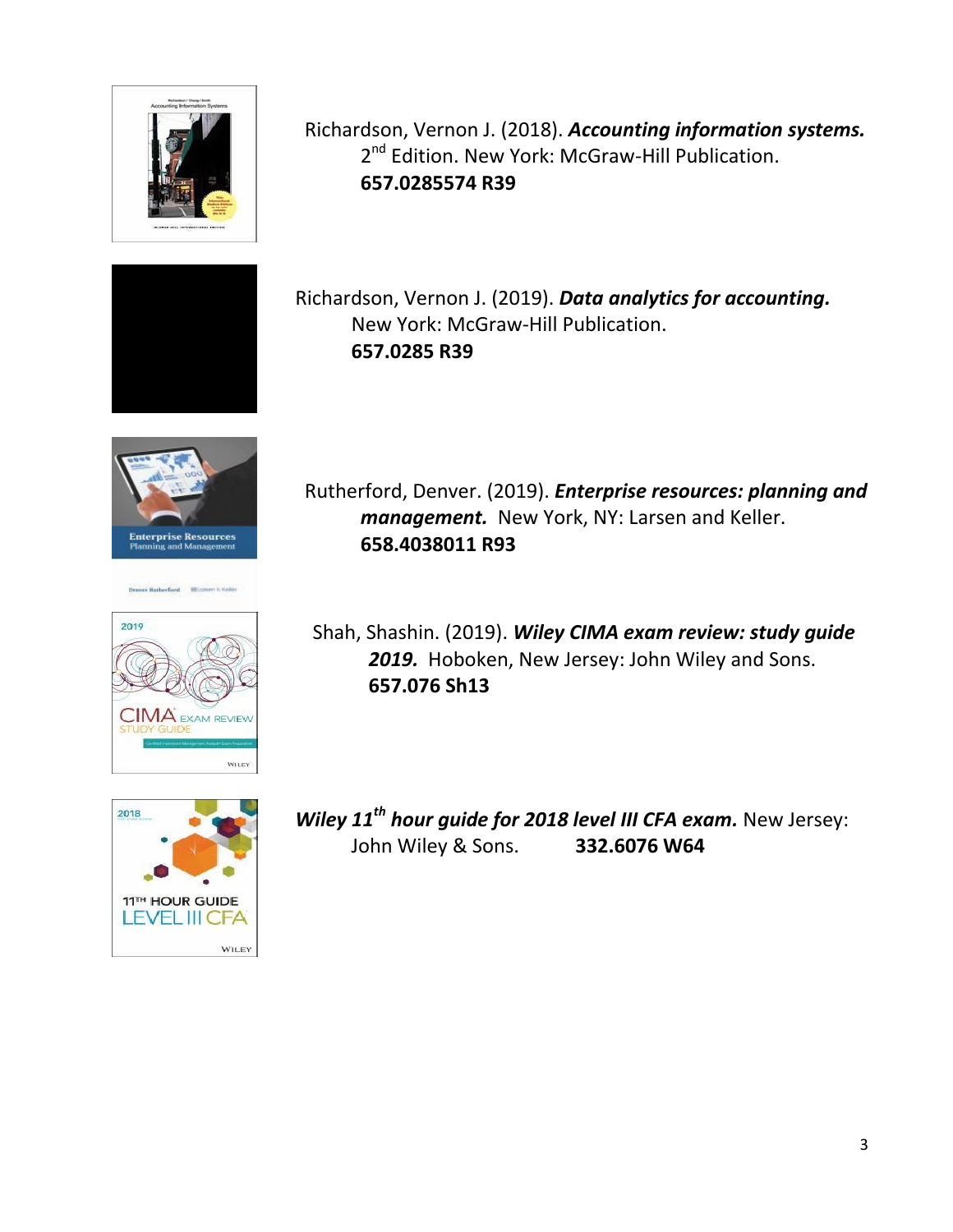

Richardson, Vernon J. (2018). *[Accounting information systems.](http://tlc.library.usc.edu.ph:8080/#section=resource&resourceid=463928429¤tIndex=2&view=reviewsDetailsTab)* 2<sup>nd</sup> Edition. New York: McGraw-Hill Publication. **657.0285574 R39**



**Enterprise Resources**<br>Planning and Management





Richardson, Vernon J. (2019). *[Data analytics for accounting.](http://tlc.library.usc.edu.ph:8080/#section=resource&resourceid=463928619¤tIndex=0&view=allCopiesDetailsTab)* New York: McGraw-Hill Publication. **657.0285 R39**

Rutherford, Denver. (2019). *[Enterprise resources: planning and](http://tlc.library.usc.edu.ph:8080/#section=resource&resourceid=484128753¤tIndex=0&view=allCopiesDetailsTab) [management.](http://tlc.library.usc.edu.ph:8080/#section=resource&resourceid=484128753¤tIndex=0&view=allCopiesDetailsTab)* New York, NY: Larsen and Keller. **658.4038011 R93**

Shah, Shashin. (2019). *[Wiley CIMA exam review: study guide](http://tlc.library.usc.edu.ph:8080/#section=resource&resourceid=448779632¤tIndex=0&view=allCopiesDetailsTab) [2019.](http://tlc.library.usc.edu.ph:8080/#section=resource&resourceid=448779632¤tIndex=0&view=allCopiesDetailsTab)* Hoboken, New Jersey: John Wiley and Sons. **657.076 Sh13**

*Wiley 11th [hour guide for 2018 level III CFA exam.](http://tlc.library.usc.edu.ph:8080/#section=resource&resourceid=450483589¤tIndex=0&view=allCopiesDetailsTab)* New Jersey: John Wiley & Sons. **332.6076 W64**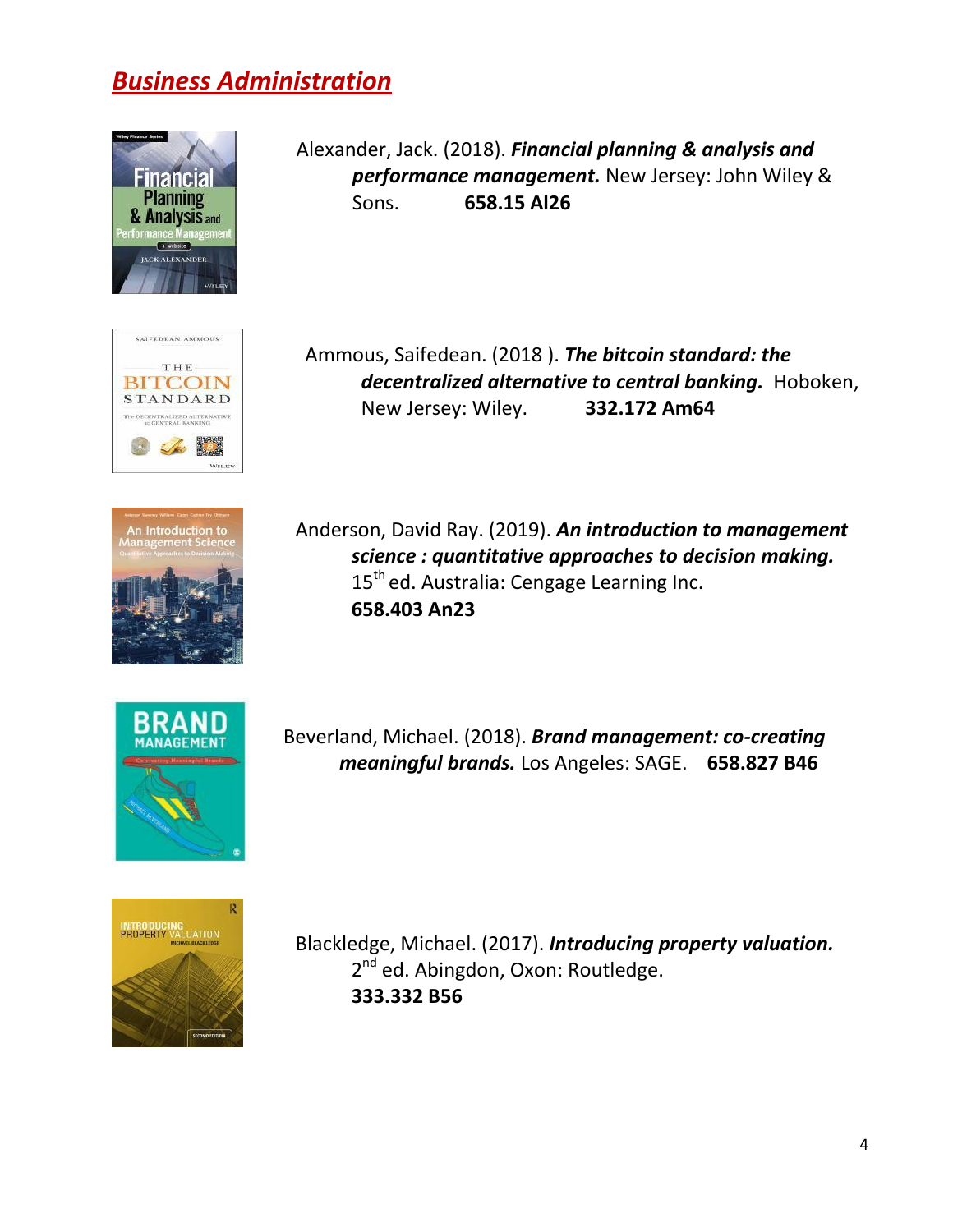## *Business Administration*



Alexander, Jack. (2018). *[Financial planning & analysis and](http://tlc.library.usc.edu.ph:8080/#section=resource&resourceid=452197992¤tIndex=1&view=allCopiesDetailsTab) [performance management.](http://tlc.library.usc.edu.ph:8080/#section=resource&resourceid=452197992¤tIndex=1&view=allCopiesDetailsTab)* New Jersey: John Wiley & Sons. **658.15 Al26**



Ammous, Saifedean. (2018 ). *[The bitcoin standard: the](http://tlc.library.usc.edu.ph:8080/#section=resource&resourceid=450272892¤tIndex=0&view=allCopiesDetailsTab) [decentralized alternative to central banking.](http://tlc.library.usc.edu.ph:8080/#section=resource&resourceid=450272892¤tIndex=0&view=allCopiesDetailsTab)* Hoboken, New Jersey: Wiley. **332.172 Am64**



Anderson, David Ray. (2019). *An [introduction to management](http://tlc.library.usc.edu.ph:8080/#section=resource&resourceid=469670217¤tIndex=0&view=allCopiesDetailsTab)  [science : quantitative approaches to decision making.](http://tlc.library.usc.edu.ph:8080/#section=resource&resourceid=469670217¤tIndex=0&view=allCopiesDetailsTab)* 15<sup>th</sup> ed. Australia: Cengage Learning Inc. **658.403 An23**



Beverland, Michael. (2018). *[Brand management: co-creating](http://tlc.library.usc.edu.ph:8080/#section=resource&resourceid=473621276¤tIndex=0&view=allCopiesDetailsTab) [meaningful brands.](http://tlc.library.usc.edu.ph:8080/#section=resource&resourceid=473621276¤tIndex=0&view=allCopiesDetailsTab)* Los Angeles: SAGE. **658.827 B46**



Blackledge, Michael. (2017). *[Introducing property valuation.](http://tlc.library.usc.edu.ph:8080/#section=resource&resourceid=453052353¤tIndex=0&view=allCopiesDetailsTab)* 2<sup>nd</sup> ed. Abingdon, Oxon: Routledge. **333.332 B56**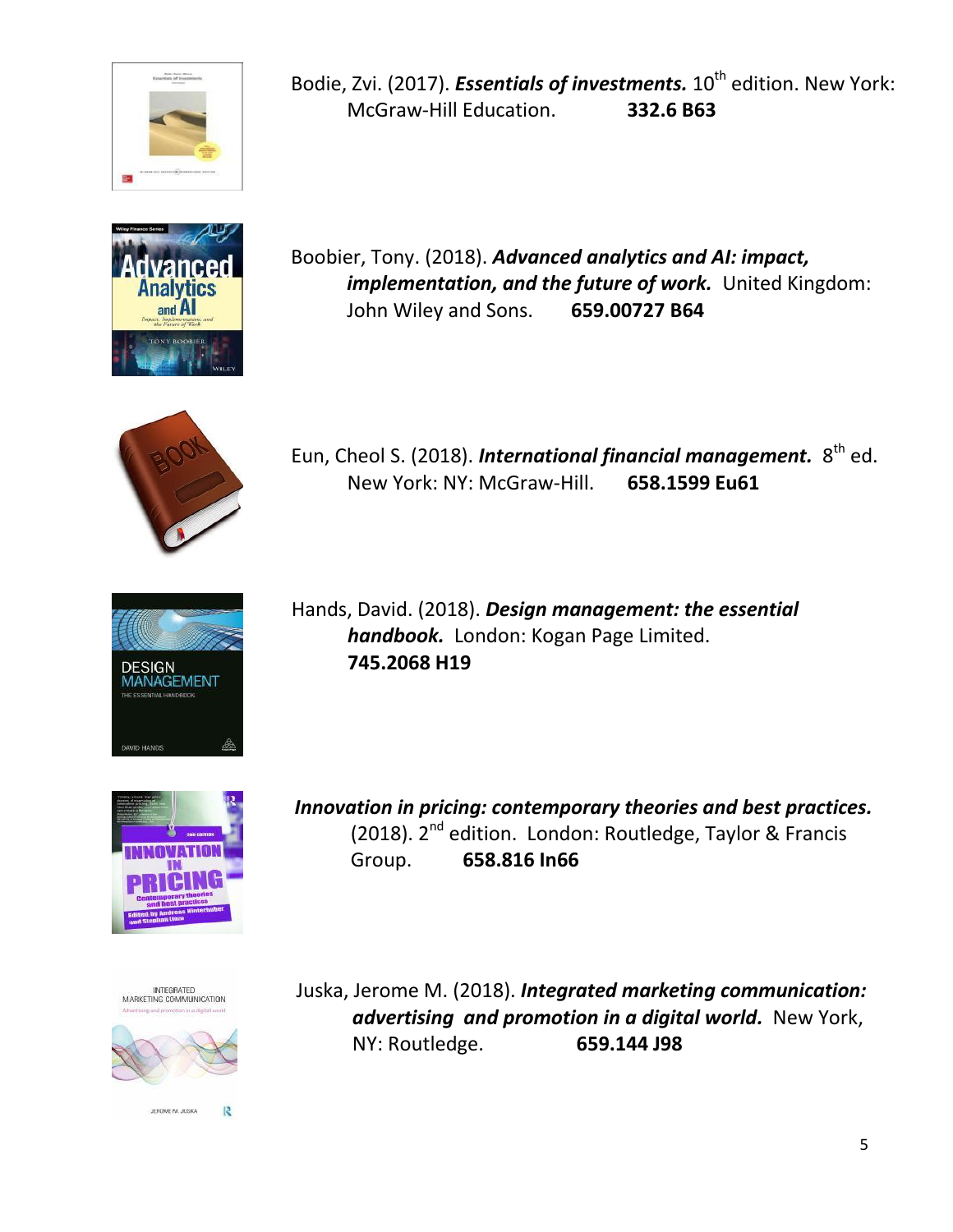

Bodie, Zvi. (2017). *[Essentials of investments.](http://tlc.library.usc.edu.ph:8080/#section=resource&resourceid=469029573¤tIndex=1&view=allCopiesDetailsTab)* 10<sup>th</sup> edition. New York: McGraw-Hill Education. **332.6 B63**



Boobier, Tony. (2018). *[Advanced analytics and AI: impact,](http://tlc.library.usc.edu.ph:8080/#section=resource&resourceid=451985000¤tIndex=0&view=allCopiesDetailsTab)  implementation, and the future of work.* United Kingdom: John Wiley and Sons. **659.00727 B64**



Eun, Cheol S. (2018). *[International financial management.](http://tlc.library.usc.edu.ph:8080/#section=resource&resourceid=469671395¤tIndex=9&view=allCopiesDetailsTab)* 8<sup>th</sup> ed. New York: NY: McGraw-Hill. **658.1599 Eu61**



Hands, David. (2018). *[Design management: the essential](http://tlc.library.usc.edu.ph:8080/#section=resource&resourceid=456463638¤tIndex=2&view=allCopiesDetailsTab) [handbook.](http://tlc.library.usc.edu.ph:8080/#section=resource&resourceid=456463638¤tIndex=2&view=allCopiesDetailsTab)* London: Kogan Page Limited. **745.2068 H19**



*[Innovation in pricing: contemporary theories and best practices.](http://tlc.library.usc.edu.ph:8080/#section=resource&resourceid=456462613¤tIndex=0&view=allCopiesDetailsTab)* (2018). 2nd edition. London: Routledge, Taylor & Francis Group. **658.816 In66**





Juska, Jerome M. (2018). *[Integrated marketing communication:](http://tlc.library.usc.edu.ph:8080/#section=resource&resourceid=456251256¤tIndex=1&view=allCopiesDetailsTab) [advertising and promotion in a digital world.](http://tlc.library.usc.edu.ph:8080/#section=resource&resourceid=456251256¤tIndex=1&view=allCopiesDetailsTab)* New York, NY: Routledge. **659.144 J98**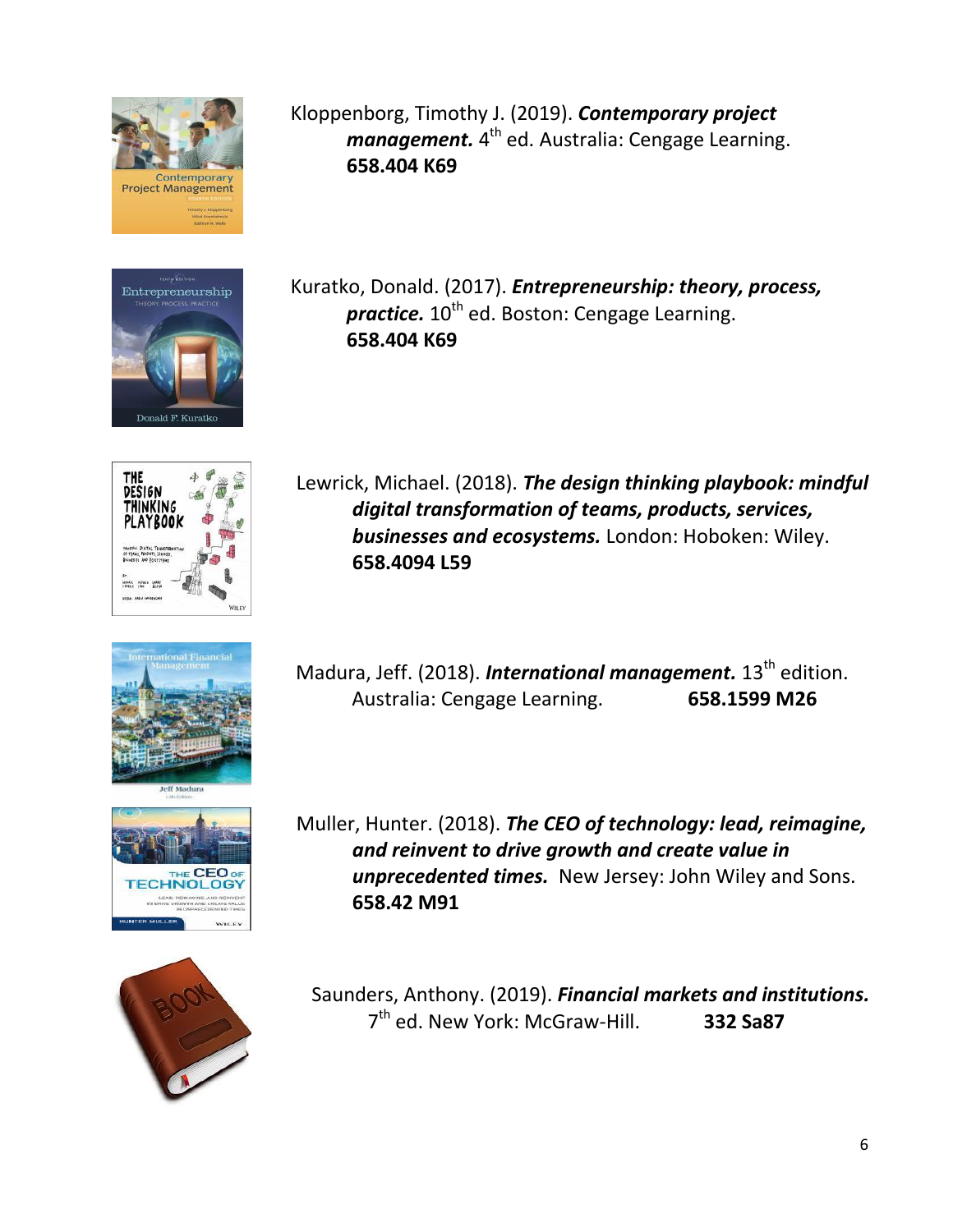

Entrepreneurship

Kloppenborg, Timothy J. (2019). *[Contemporary project](http://tlc.library.usc.edu.ph:8080/#section=resource&resourceid=450483078¤tIndex=1&view=allCopiesDetailsTab)  [management.](http://tlc.library.usc.edu.ph:8080/#section=resource&resourceid=450483078¤tIndex=1&view=allCopiesDetailsTab)* 4<sup>th</sup> ed. Australia: Cengage Learning. **658.404 K69**

Kuratko, Donald. (2017). *[Entrepreneurship: theory, process,](http://tlc.library.usc.edu.ph:8080/#section=resource&resourceid=396827122¤tIndex=0&view=fullDetailsDetailsTab) [practice.](http://tlc.library.usc.edu.ph:8080/#section=resource&resourceid=396827122¤tIndex=0&view=fullDetailsDetailsTab)* 10<sup>th</sup> ed. Boston: Cengage Learning. **658.404 K69**



Lewrick, Michael. (2018). *[The design thinking playbook: mindful](http://tlc.library.usc.edu.ph:8080/#section=resource&resourceid=465856591¤tIndex=0&view=allCopiesDetailsTab) [digital transformation of teams, products, services,](http://tlc.library.usc.edu.ph:8080/#section=resource&resourceid=465856591¤tIndex=0&view=allCopiesDetailsTab) [businesses and ecosystems.](http://tlc.library.usc.edu.ph:8080/#section=resource&resourceid=465856591¤tIndex=0&view=allCopiesDetailsTab)* London: Hoboken: Wiley. **658.4094 L59**

Madura, Jeff. (2018). *International management*. 13<sup>th</sup> edition. Australia: Cengage Learning. **658.1599 M26**

Muller, Hunter. (2018). *[The CEO of technology: lead, reimagine,](http://tlc.library.usc.edu.ph:8080/#section=resource&resourceid=453050194¤tIndex=0&view=allCopiesDetailsTab) [and reinvent to drive growth and create value in](http://tlc.library.usc.edu.ph:8080/#section=resource&resourceid=453050194¤tIndex=0&view=allCopiesDetailsTab) [unprecedented times.](http://tlc.library.usc.edu.ph:8080/#section=resource&resourceid=453050194¤tIndex=0&view=allCopiesDetailsTab)* New Jersey: John Wiley and Sons. **658.42 M91**



Saunders, Anthony. (2019). *[Financial markets and institutions.](http://tlc.library.usc.edu.ph:8080/#section=resource&resourceid=469671409¤tIndex=0&view=allCopiesDetailsTab)* 7 th ed. New York: McGraw-Hill. **332 Sa87**

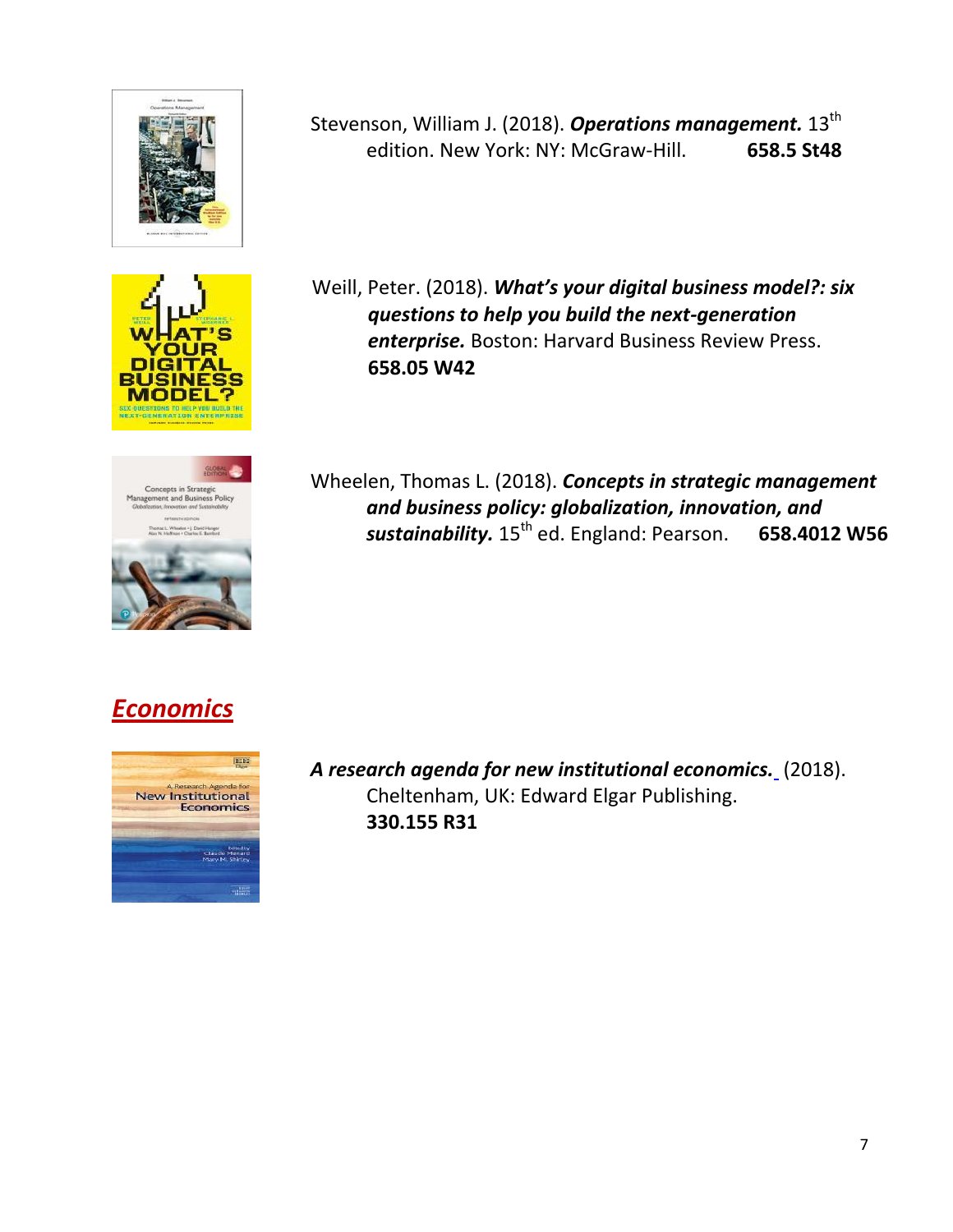





Stevenson, William J. (2018). [Operations management.](http://tlc.library.usc.edu.ph:8080/#section=resource&resourceid=465423846¤tIndex=1&view=allCopiesDetailsTab) 13<sup>th</sup> edition. New York: NY: McGraw-Hill. **658.5 St48**

Weill, Peter. (2018). *[What's your digital business model?: six](http://tlc.library.usc.edu.ph:8080/#section=resource&resourceid=447640621¤tIndex=0&view=allCopiesDetailsTab)  [questions to help you build the next-generation](http://tlc.library.usc.edu.ph:8080/#section=resource&resourceid=447640621¤tIndex=0&view=allCopiesDetailsTab)  enterprise.* Boston: Harvard Business Review Press. **658.05 W42**

Wheelen, Thomas L. (2018). *[Concepts in strategic management](http://tlc.library.usc.edu.ph:8080/#section=resource&resourceid=463500234¤tIndex=1&view=allCopiesDetailsTab) [and business policy: globalization, innovation, and](http://tlc.library.usc.edu.ph:8080/#section=resource&resourceid=463500234¤tIndex=1&view=allCopiesDetailsTab)* sustainability.  $15^{th}$  ed. England: Pearson. **658.4012 W56** 

#### *Economics*



*[A research agenda for new institutional economics.](http://tlc.library.usc.edu.ph:8080/#section=resource&resourceid=462216946¤tIndex=0&view=allCopiesDetailsTab)* (2018). Cheltenham, UK: Edward Elgar Publishing. **330.155 R31**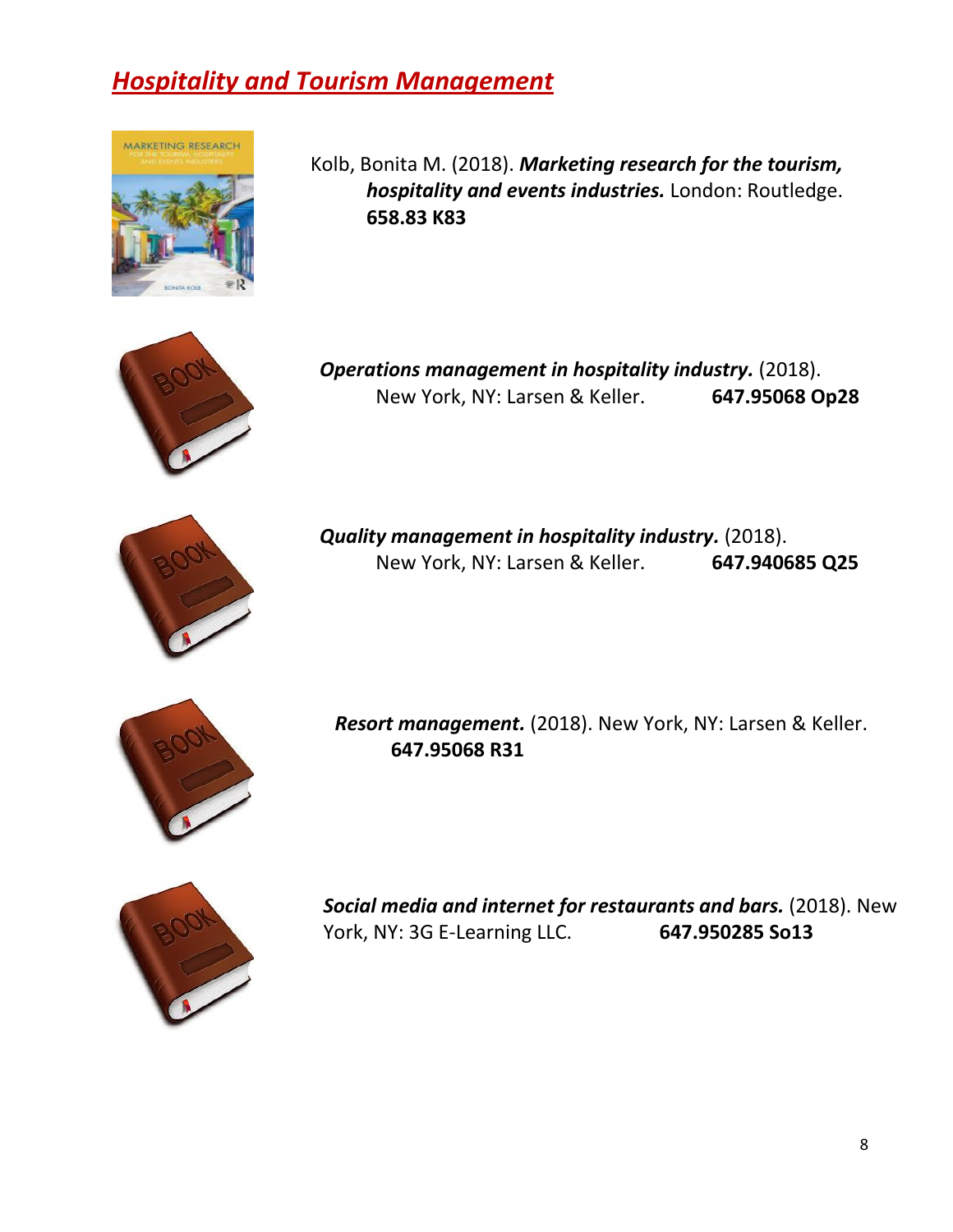## *Hospitality and Tourism Management*



Kolb, Bonita M. (2018). *[Marketing research for the tourism,](http://tlc.library.usc.edu.ph:8080/#section=resource&resourceid=463499839¤tIndex=0&view=allCopiesDetailsTab)  [hospitality and events industries.](http://tlc.library.usc.edu.ph:8080/#section=resource&resourceid=463499839¤tIndex=0&view=allCopiesDetailsTab)* London: Routledge. **658.83 K83**



*[Operations management in hospitality industry.](http://tlc.library.usc.edu.ph:8080/#section=resource&resourceid=453054334¤tIndex=0&view=allCopiesDetailsTab)* (2018). New York, NY: Larsen & Keller. **647.95068 Op28**



*[Quality management in hospitality industry.](http://tlc.library.usc.edu.ph:8080/#section=resource&resourceid=452627042¤tIndex=0&view=allCopiesDetailsTab)* (2018). New York, NY: Larsen & Keller. **647.940685 Q25**



*[Resort management.](http://tlc.library.usc.edu.ph:8080/#section=resource&resourceid=451982195¤tIndex=0&view=allCopiesDetailsTab)* (2018). New York, NY: Larsen & Keller. **647.95068 R31**



*[Social media and internet for restaurants and bars.](http://tlc.library.usc.edu.ph:8080/#section=resource&resourceid=462429556¤tIndex=0&view=allCopiesDetailsTab)* (2018). New York, NY: 3G E-Learning LLC. **647.950285 So13**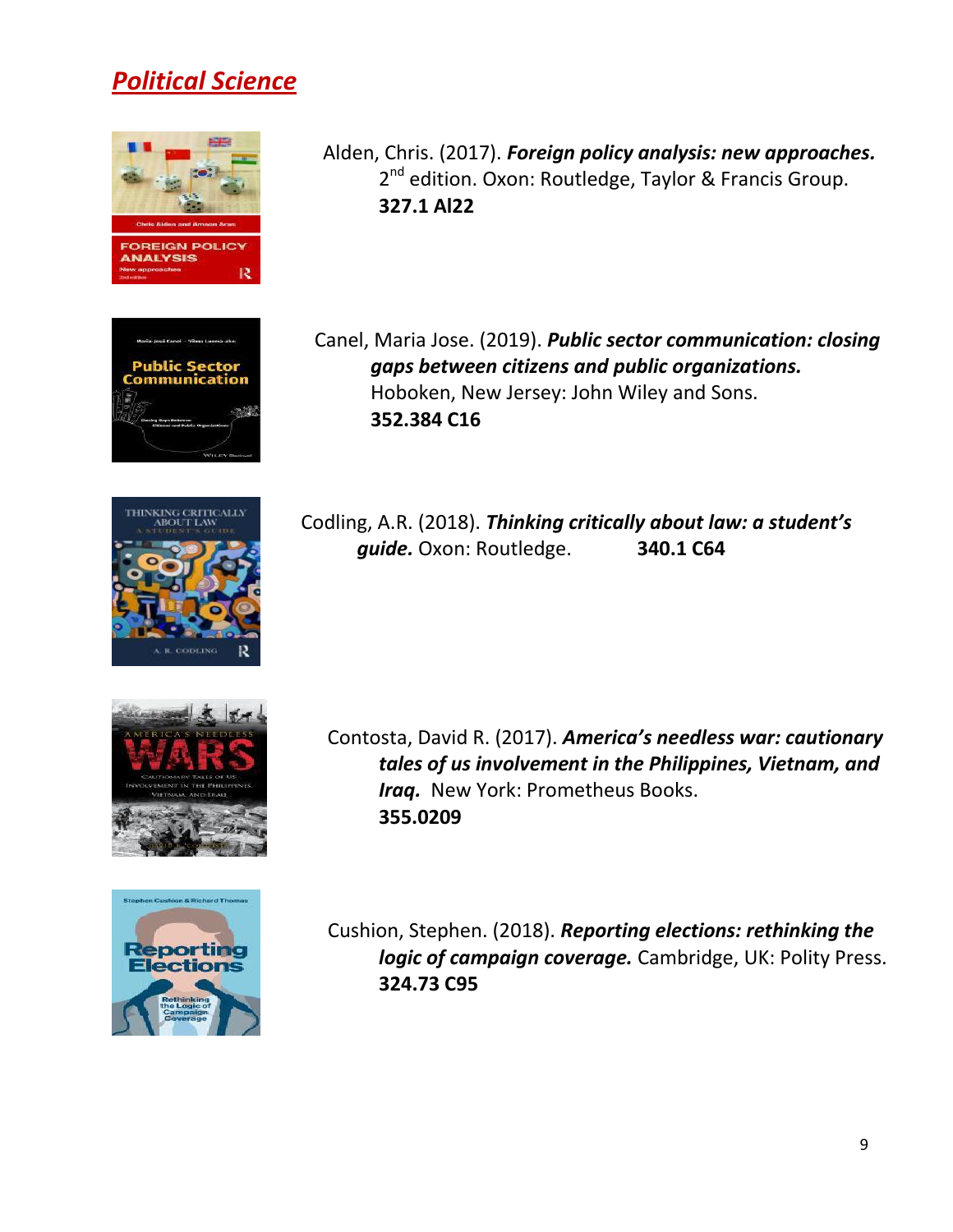#### *Political Science*







Canel, Maria Jose. (2019). *[Public sector communication: closing](http://tlc.library.usc.edu.ph:8080/#section=resource&resourceid=459459029¤tIndex=0&view=allCopiesDetailsTab) [gaps between citizens and public organizations.](http://tlc.library.usc.edu.ph:8080/#section=resource&resourceid=459459029¤tIndex=0&view=allCopiesDetailsTab)* Hoboken, New Jersey: John Wiley and Sons. **352.384 C16**



Codling, A.R. (2018). *[Thinking critically about law: a student's](http://tlc.library.usc.edu.ph:8080/#section=resource&resourceid=462429753¤tIndex=0&view=allCopiesDetailsTab) guide.* Oxon: Routledge. **340.1 C64**



Contosta, David R. (2017). *[America's needless war: cautionary](http://tlc.library.usc.edu.ph:8080/#section=resource&resourceid=370627172¤tIndex=0&view=fullDetailsDetailsTab) [tales of us involvement in the Philippines, Vietnam, and](http://tlc.library.usc.edu.ph:8080/#section=resource&resourceid=370627172¤tIndex=0&view=fullDetailsDetailsTab) Iraq.* New York: Prometheus Books. **355.0209**



Cushion, Stephen. (2018). *[Reporting elections: rethinking the](http://tlc.library.usc.edu.ph:8080/#section=resource&resourceid=466492247¤tIndex=0&view=allCopiesDetailsTab) [logic of campaign coverage.](http://tlc.library.usc.edu.ph:8080/#section=resource&resourceid=466492247¤tIndex=0&view=allCopiesDetailsTab)* Cambridge, UK: Polity Press. **324.73 C95**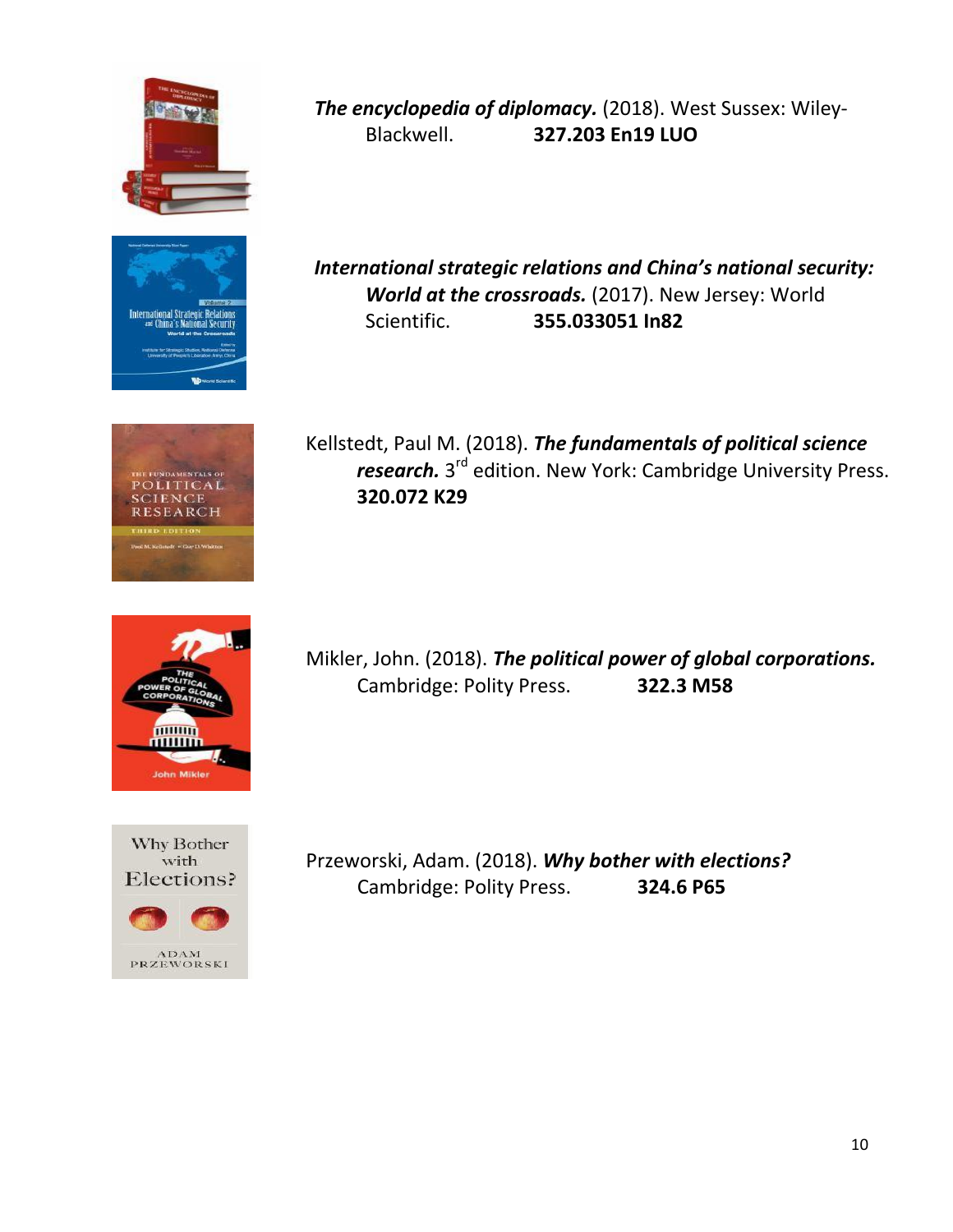









*[The encyclopedia of diplomacy.](http://tlc.library.usc.edu.ph:8080/#section=resource&resourceid=474343099¤tIndex=0&view=allCopiesDetailsTab)* (2018). West Sussex: Wiley-Blackwell. **327.203 En19 LUO**

*[International strategic relations and China's national security:](http://tlc.library.usc.edu.ph:8080/#section=resource&resourceid=453270630¤tIndex=0&view=allCopiesDetailsTab) [World at the crossroads.](http://tlc.library.usc.edu.ph:8080/#section=resource&resourceid=453270630¤tIndex=0&view=allCopiesDetailsTab)* (2017). New Jersey: World Scientific. **355.033051 In82**

Kellstedt, Paul M. (2018). *[The fundamentals of political science](http://tlc.library.usc.edu.ph:8080/#section=resource&resourceid=453482455¤tIndex=2&view=allCopiesDetailsTab)*  [research.](http://tlc.library.usc.edu.ph:8080/#section=resource&resourceid=453482455¤tIndex=2&view=allCopiesDetailsTab) 3<sup>rd</sup> edition. New York: Cambridge University Press. **320.072 K29**

Mikler, John. (2018). *[The political power of global corporations.](http://tlc.library.usc.edu.ph:8080/#section=resource&resourceid=462216958¤tIndex=0&view=allCopiesDetailsTab)*  Cambridge: Polity Press. **322.3 M58**

Przeworski, Adam. (2018). *[Why bother with elections?](http://tlc.library.usc.edu.ph:8080/#section=resource&resourceid=462003195¤tIndex=0&view=allCopiesDetailsTab)* Cambridge: Polity Press. **324.6 P65**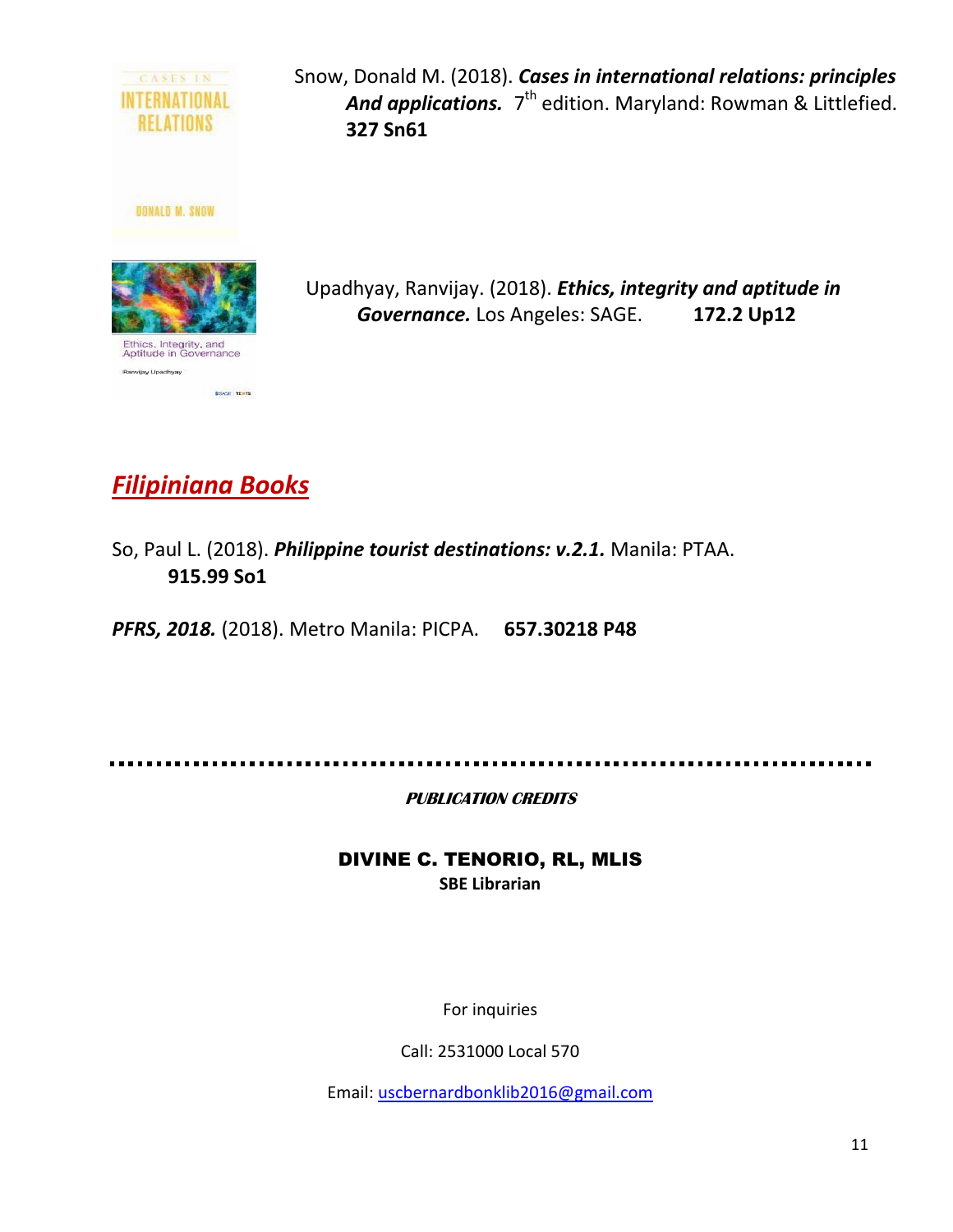

Snow, Donald M. (2018). *[Cases in international relations: principles](http://tlc.library.usc.edu.ph:8080/#section=resource&resourceid=451986067¤tIndex=0&view=allCopiesDetailsTab)* [And applications.](http://tlc.library.usc.edu.ph:8080/#section=resource&resourceid=451986067¤tIndex=0&view=allCopiesDetailsTab) 7<sup>th</sup> edition. Maryland: Rowman & Littlefied. **327 Sn61**

Upadhyay, Ranvijay. (2018). *[Ethics, integrity and aptitude in](http://tlc.library.usc.edu.ph:8080/#section=resource&resourceid=452196026¤tIndex=0&view=allCopiesDetailsTab) [Governance.](http://tlc.library.usc.edu.ph:8080/#section=resource&resourceid=452196026¤tIndex=0&view=allCopiesDetailsTab)* Los Angeles: SAGE. **172.2 Up12**

## *Filipiniana Books*

So, Paul L. (2018). *[Philippine tourist destinations: v.2.1.](http://tlc.library.usc.edu.ph:8080/#section=resource&resourceid=460501300¤tIndex=2&view=allCopiesDetailsTab)* Manila: PTAA. **915.99 So1**

*[PFRS, 2018.](http://tlc.library.usc.edu.ph:8080/#section=resource&resourceid=453914704¤tIndex=0&view=allCopiesDetailsTab)* (2018). Metro Manila: PICPA. **657.30218 P48**

**PUBLICATION CREDITS** 

DIVINE C. TENORIO, RL, MLIS **SBE Librarian**

For inquiries

Call: 2531000 Local 570

Email: [uscbernardbonklib2016@gmail.com](mailto:uscbernardbonklib2016@gmail.com)